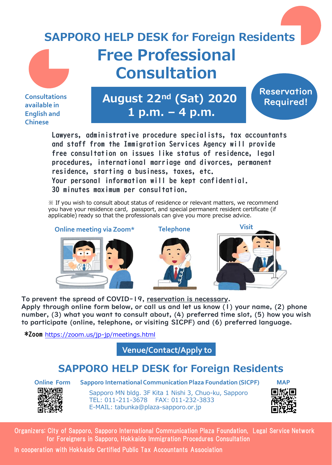## **Free Professional Consultation SAPPORO HELP DESK for Foreign Residents**

**Consultations available in English and Chinese**

**August 22nd (Sat) 2020 1 p.m. – 4 p.m.**

**Reservation** Required!

Lawyers, administrative procedure specialists, tax accountants and staff from the Immigration Services Agency will provide free consultation on issues like status of residence, legal procedures, international marriage and divorces, permanent residence, starting a business, taxes, etc. Your personal information will be kept confidential. 30 minutes maximum per consultation.

※ If you wish to consult about status of residence or relevant matters, we recommend you have your residence card, passport, and special permanent resident certificate (if applicable) ready so that the professionals can give you more precise advice.

**Online meeting via Zoom\* Telephone Visit**







To prevent the spread of COVID-19, reservation is necessary. Apply through online form below, or call us and let us know (1) your name, (2) phone number, (3) what you want to consult about, (4) preferred time slot, (5) how you wish to participate (online, telephone, or visiting SICPF) and (6) preferred language.

\*Zoom https://zoom.us/jp-jp/meetings.html

**Venue/Contact/Apply to**

## **SAPPORO HELP DESK for Foreign Residents**



**Online Form Sapporo International Communication Plaza Foundation (SICPF)**

Sapporo MN bldg. 3F Kita 1 Nishi 3, Chuo-ku, Sapporo TEL: 011-211-3678 FAX: 011-232-3833 E-MAIL: tabunka@plaza-sapporo.or.jp



Organizers: City of Sapporo, Sapporo International Communication Plaza Foundation, Legal Service Network for Foreigners in Sapporo, Hokkaido Immigration Procedures Consultation

In cooperation with Hokkaido Certified Public Tax Accountants Association